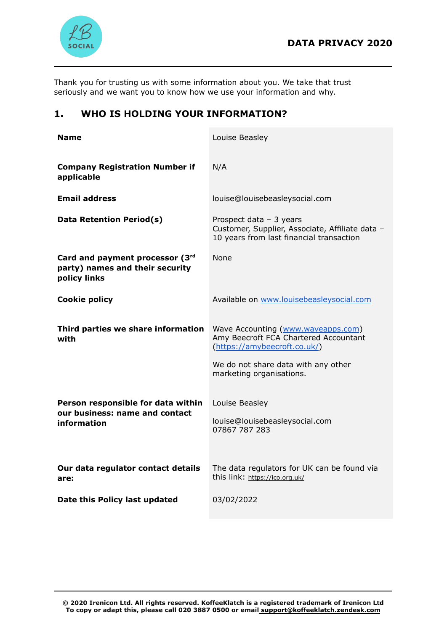

Thank you for trusting us with some information about you. We take that trust seriously and we want you to know how we use your information and why.

# **1. WHO IS HOLDING YOUR INFORMATION?**

| <b>Name</b>                                                                         | Louise Beasley                                                                                                                                                                 |
|-------------------------------------------------------------------------------------|--------------------------------------------------------------------------------------------------------------------------------------------------------------------------------|
| <b>Company Registration Number if</b><br>applicable                                 | N/A                                                                                                                                                                            |
| <b>Email address</b>                                                                | louise@louisebeasleysocial.com                                                                                                                                                 |
| Data Retention Period(s)                                                            | Prospect data $-3$ years<br>Customer, Supplier, Associate, Affiliate data -<br>10 years from last financial transaction                                                        |
| Card and payment processor (3rd<br>party) names and their security<br>policy links  | None                                                                                                                                                                           |
| <b>Cookie policy</b>                                                                | Available on www.louisebeasleysocial.com                                                                                                                                       |
| Third parties we share information<br>with                                          | Wave Accounting (www.waveapps.com)<br>Amy Beecroft FCA Chartered Accountant<br>(https://amybeecroft.co.uk/)<br>We do not share data with any other<br>marketing organisations. |
| Person responsible for data within<br>our business: name and contact<br>information | Louise Beasley<br>louise@louisebeasleysocial.com<br>07867 787 283                                                                                                              |
| Our data regulator contact details<br>are:                                          | The data regulators for UK can be found via<br>this link: https://ico.org.uk/                                                                                                  |
| Date this Policy last updated                                                       | 03/02/2022                                                                                                                                                                     |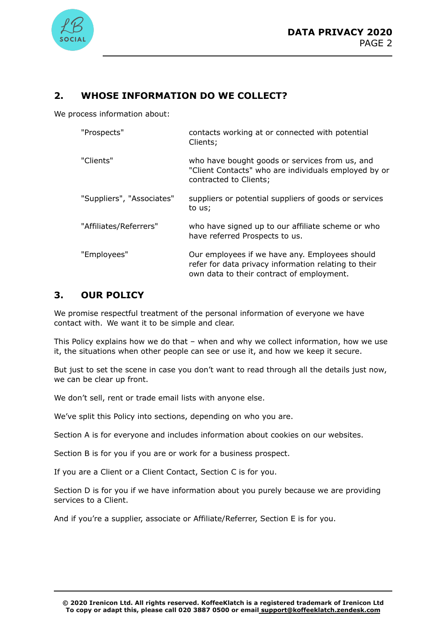

# **2. WHOSE INFORMATION DO WE COLLECT?**

We process information about:

| "Prospects"               | contacts working at or connected with potential<br>Clients;                                                                                         |
|---------------------------|-----------------------------------------------------------------------------------------------------------------------------------------------------|
| "Clients"                 | who have bought goods or services from us, and<br>"Client Contacts" who are individuals employed by or<br>contracted to Clients;                    |
| "Suppliers", "Associates" | suppliers or potential suppliers of goods or services<br>to us;                                                                                     |
| "Affiliates/Referrers"    | who have signed up to our affiliate scheme or who<br>have referred Prospects to us.                                                                 |
| "Employees"               | Our employees if we have any. Employees should<br>refer for data privacy information relating to their<br>own data to their contract of employment. |

## **3. OUR POLICY**

We promise respectful treatment of the personal information of everyone we have contact with. We want it to be simple and clear.

This Policy explains how we do that – when and why we collect information, how we use it, the situations when other people can see or use it, and how we keep it secure.

But just to set the scene in case you don't want to read through all the details just now, we can be clear up front.

We don't sell, rent or trade email lists with anyone else.

We've split this Policy into sections, depending on who you are.

Section A is for everyone and includes information about cookies on our websites.

Section B is for you if you are or work for a business prospect.

If you are a Client or a Client Contact, Section C is for you.

Section D is for you if we have information about you purely because we are providing services to a Client.

And if you're a supplier, associate or Affiliate/Referrer, Section E is for you.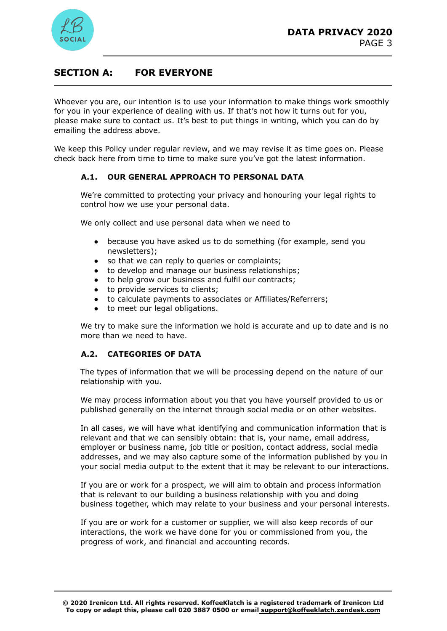



### **SECTION A: FOR EVERYONE**

Whoever you are, our intention is to use your information to make things work smoothly for you in your experience of dealing with us. If that's not how it turns out for you, please make sure to contact us. It's best to put things in writing, which you can do by emailing the address above.

We keep this Policy under regular review, and we may revise it as time goes on. Please check back here from time to time to make sure you've got the latest information.

#### **A.1. OUR GENERAL APPROACH TO PERSONAL DATA**

We're committed to protecting your privacy and honouring your legal rights to control how we use your personal data.

We only collect and use personal data when we need to

- because you have asked us to do something (for example, send you newsletters);
- so that we can reply to queries or complaints;
- to develop and manage our business relationships;
- to help grow our business and fulfil our contracts;
- to provide services to clients;
- to calculate payments to associates or Affiliates/Referrers;
- to meet our legal obligations.

We try to make sure the information we hold is accurate and up to date and is no more than we need to have.

#### **A.2. CATEGORIES OF DATA**

The types of information that we will be processing depend on the nature of our relationship with you.

We may process information about you that you have yourself provided to us or published generally on the internet through social media or on other websites.

In all cases, we will have what identifying and communication information that is relevant and that we can sensibly obtain: that is, your name, email address, employer or business name, job title or position, contact address, social media addresses, and we may also capture some of the information published by you in your social media output to the extent that it may be relevant to our interactions.

If you are or work for a prospect, we will aim to obtain and process information that is relevant to our building a business relationship with you and doing business together, which may relate to your business and your personal interests.

If you are or work for a customer or supplier, we will also keep records of our interactions, the work we have done for you or commissioned from you, the progress of work, and financial and accounting records.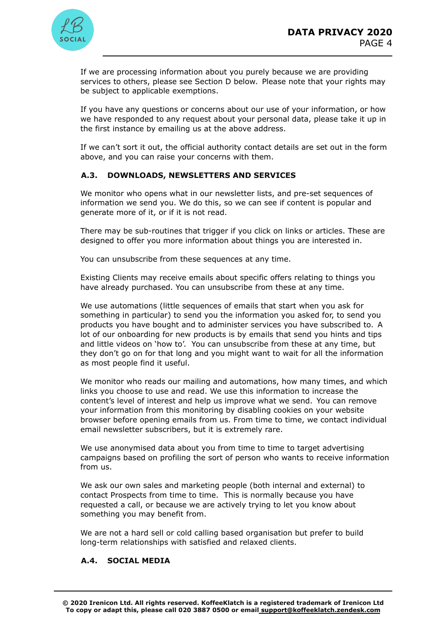

If we are processing information about you purely because we are providing services to others, please see Section D below. Please note that your rights may be subject to applicable exemptions.

If you have any questions or concerns about our use of your information, or how we have responded to any request about your personal data, please take it up in the first instance by emailing us at the above address.

If we can't sort it out, the official authority contact details are set out in the form above, and you can raise your concerns with them.

#### **A.3. DOWNLOADS, NEWSLETTERS AND SERVICES**

We monitor who opens what in our newsletter lists, and pre-set sequences of information we send you. We do this, so we can see if content is popular and generate more of it, or if it is not read.

There may be sub-routines that trigger if you click on links or articles. These are designed to offer you more information about things you are interested in.

You can unsubscribe from these sequences at any time.

Existing Clients may receive emails about specific offers relating to things you have already purchased. You can unsubscribe from these at any time.

We use automations (little sequences of emails that start when you ask for something in particular) to send you the information you asked for, to send you products you have bought and to administer services you have subscribed to. A lot of our onboarding for new products is by emails that send you hints and tips and little videos on 'how to'. You can unsubscribe from these at any time, but they don't go on for that long and you might want to wait for all the information as most people find it useful.

We monitor who reads our mailing and automations, how many times, and which links you choose to use and read. We use this information to increase the content's level of interest and help us improve what we send. You can remove your information from this monitoring by disabling cookies on your website browser before opening emails from us. From time to time, we contact individual email newsletter subscribers, but it is extremely rare.

We use anonymised data about you from time to time to target advertising campaigns based on profiling the sort of person who wants to receive information from us.

We ask our own sales and marketing people (both internal and external) to contact Prospects from time to time. This is normally because you have requested a call, or because we are actively trying to let you know about something you may benefit from.

We are not a hard sell or cold calling based organisation but prefer to build long-term relationships with satisfied and relaxed clients.

#### **A.4. SOCIAL MEDIA**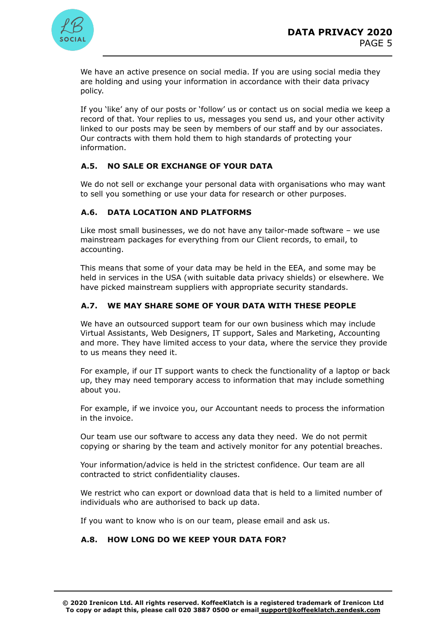

We have an active presence on social media. If you are using social media they are holding and using your information in accordance with their data privacy policy.

If you 'like' any of our posts or 'follow' us or contact us on social media we keep a record of that. Your replies to us, messages you send us, and your other activity linked to our posts may be seen by members of our staff and by our associates. Our contracts with them hold them to high standards of protecting your information.

### **A.5. NO SALE OR EXCHANGE OF YOUR DATA**

We do not sell or exchange your personal data with organisations who may want to sell you something or use your data for research or other purposes.

#### **A.6. DATA LOCATION AND PLATFORMS**

Like most small businesses, we do not have any tailor-made software – we use mainstream packages for everything from our Client records, to email, to accounting.

This means that some of your data may be held in the EEA, and some may be held in services in the USA (with suitable data privacy shields) or elsewhere. We have picked mainstream suppliers with appropriate security standards.

#### **A.7. WE MAY SHARE SOME OF YOUR DATA WITH THESE PEOPLE**

We have an outsourced support team for our own business which may include Virtual Assistants, Web Designers, IT support, Sales and Marketing, Accounting and more. They have limited access to your data, where the service they provide to us means they need it.

For example, if our IT support wants to check the functionality of a laptop or back up, they may need temporary access to information that may include something about you.

For example, if we invoice you, our Accountant needs to process the information in the invoice.

Our team use our software to access any data they need. We do not permit copying or sharing by the team and actively monitor for any potential breaches.

Your information/advice is held in the strictest confidence. Our team are all contracted to strict confidentiality clauses.

We restrict who can export or download data that is held to a limited number of individuals who are authorised to back up data.

If you want to know who is on our team, please email and ask us.

### **A.8. HOW LONG DO WE KEEP YOUR DATA FOR?**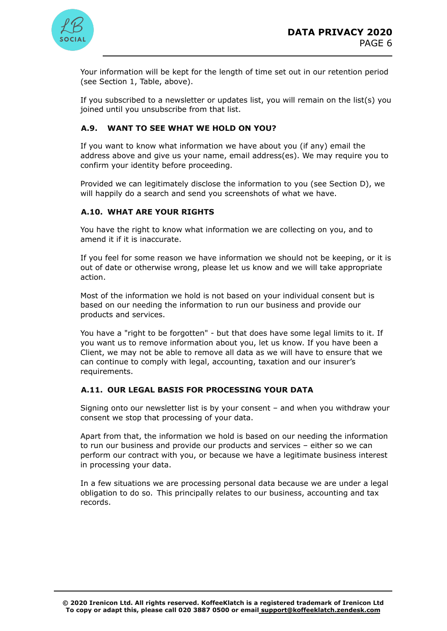

Your information will be kept for the length of time set out in our retention period (see Section 1, Table, above).

If you subscribed to a newsletter or updates list, you will remain on the list(s) you joined until you unsubscribe from that list.

### **A.9. WANT TO SEE WHAT WE HOLD ON YOU?**

If you want to know what information we have about you (if any) email the address above and give us your name, email address(es). We may require you to confirm your identity before proceeding.

Provided we can legitimately disclose the information to you (see Section D), we will happily do a search and send you screenshots of what we have.

#### **A.10. WHAT ARE YOUR RIGHTS**

You have the right to know what information we are collecting on you, and to amend it if it is inaccurate.

If you feel for some reason we have information we should not be keeping, or it is out of date or otherwise wrong, please let us know and we will take appropriate action.

Most of the information we hold is not based on your individual consent but is based on our needing the information to run our business and provide our products and services.

You have a "right to be forgotten" - but that does have some legal limits to it. If you want us to remove information about you, let us know. If you have been a Client, we may not be able to remove all data as we will have to ensure that we can continue to comply with legal, accounting, taxation and our insurer's requirements.

#### **A.11. OUR LEGAL BASIS FOR PROCESSING YOUR DATA**

Signing onto our newsletter list is by your consent – and when you withdraw your consent we stop that processing of your data.

Apart from that, the information we hold is based on our needing the information to run our business and provide our products and services – either so we can perform our contract with you, or because we have a legitimate business interest in processing your data.

In a few situations we are processing personal data because we are under a legal obligation to do so. This principally relates to our business, accounting and tax records.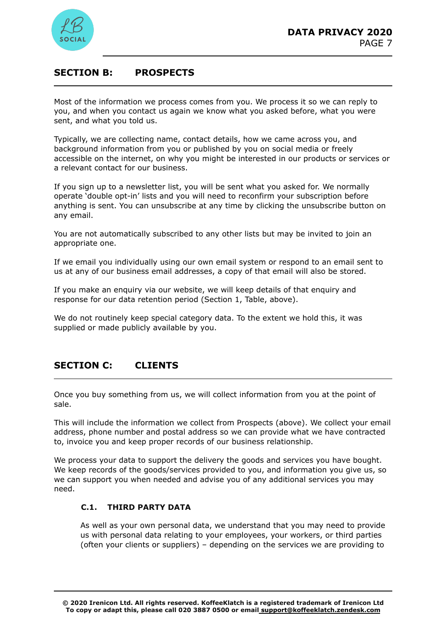

## **SECTION B: PROSPECTS**

Most of the information we process comes from you. We process it so we can reply to you, and when you contact us again we know what you asked before, what you were sent, and what you told us.

Typically, we are collecting name, contact details, how we came across you, and background information from you or published by you on social media or freely accessible on the internet, on why you might be interested in our products or services or a relevant contact for our business.

If you sign up to a newsletter list, you will be sent what you asked for. We normally operate 'double opt-in' lists and you will need to reconfirm your subscription before anything is sent. You can unsubscribe at any time by clicking the unsubscribe button on any email.

You are not automatically subscribed to any other lists but may be invited to join an appropriate one.

If we email you individually using our own email system or respond to an email sent to us at any of our business email addresses, a copy of that email will also be stored.

If you make an enquiry via our website, we will keep details of that enquiry and response for our data retention period (Section 1, Table, above).

We do not routinely keep special category data. To the extent we hold this, it was supplied or made publicly available by you.

# **SECTION C: CLIENTS**

Once you buy something from us, we will collect information from you at the point of sale.

This will include the information we collect from Prospects (above). We collect your email address, phone number and postal address so we can provide what we have contracted to, invoice you and keep proper records of our business relationship.

We process your data to support the delivery the goods and services you have bought. We keep records of the goods/services provided to you, and information you give us, so we can support you when needed and advise you of any additional services you may need.

#### **C.1. THIRD PARTY DATA**

As well as your own personal data, we understand that you may need to provide us with personal data relating to your employees, your workers, or third parties (often your clients or suppliers) – depending on the services we are providing to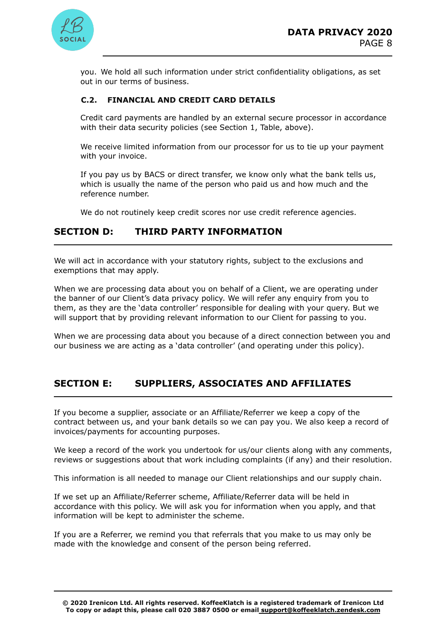

you. We hold all such information under strict confidentiality obligations, as set out in our terms of business.

#### **C.2. FINANCIAL AND CREDIT CARD DETAILS**

Credit card payments are handled by an external secure processor in accordance with their data security policies (see Section 1, Table, above).

We receive limited information from our processor for us to tie up your payment with your invoice.

If you pay us by BACS or direct transfer, we know only what the bank tells us, which is usually the name of the person who paid us and how much and the reference number.

We do not routinely keep credit scores nor use credit reference agencies.

### **SECTION D: THIRD PARTY INFORMATION**

We will act in accordance with your statutory rights, subject to the exclusions and exemptions that may apply.

When we are processing data about you on behalf of a Client, we are operating under the banner of our Client's data privacy policy. We will refer any enquiry from you to them, as they are the 'data controller' responsible for dealing with your query. But we will support that by providing relevant information to our Client for passing to you.

When we are processing data about you because of a direct connection between you and our business we are acting as a 'data controller' (and operating under this policy).

## **SECTION E: SUPPLIERS, ASSOCIATES AND AFFILIATES**

If you become a supplier, associate or an Affiliate/Referrer we keep a copy of the contract between us, and your bank details so we can pay you. We also keep a record of invoices/payments for accounting purposes.

We keep a record of the work you undertook for us/our clients along with any comments, reviews or suggestions about that work including complaints (if any) and their resolution.

This information is all needed to manage our Client relationships and our supply chain.

If we set up an Affiliate/Referrer scheme, Affiliate/Referrer data will be held in accordance with this policy. We will ask you for information when you apply, and that information will be kept to administer the scheme.

If you are a Referrer, we remind you that referrals that you make to us may only be made with the knowledge and consent of the person being referred.